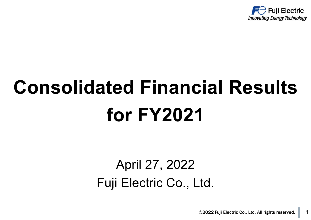

# **Consolidated Financial Results for FY2021**

### April 27, 2022 Fuji Electric Co., Ltd.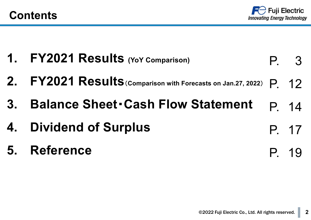

| 1. FY2021 Results (YoY Comparison)                                 | P. 3  |
|--------------------------------------------------------------------|-------|
| 2. FY2021 Results (Comparison with Forecasts on Jan.27, 2022) P 12 |       |
| 3. Balance Sheet Cash Flow Statement                               | P 14  |
| <b>4. Dividend of Surplus</b>                                      | P. 17 |
| 5. Reference                                                       | P. 19 |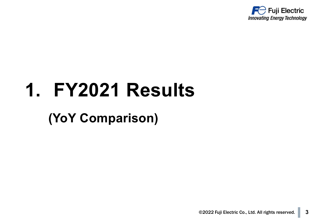

# **1. FY2021 Results**

### **(YoY Comparison)**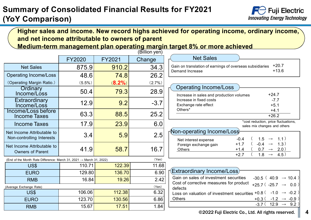#### **Summary of Consolidated Financial Results for FY2021 (YoY Comparison)**



#### **Higher sales and income. New record highs achieved for operating income, ordinary income, and net income attributable to owners of parent Medium-term management plan operating margin target 8% or more achieved**

|                                                                                 | <b>FY2020</b> | FY2021    | Change |
|---------------------------------------------------------------------------------|---------------|-----------|--------|
| <b>Net Sales</b>                                                                | 875.9         | 910.2     | 34.3   |
| <b>Operating Income/Loss</b>                                                    | 48.6          | 74.8      | 26.2   |
| (Operating Margin Ratio.)                                                       | $(5.5\%)$     | $(8.2\%)$ | (2.7%) |
| Ordinary<br>Income/Loss                                                         | 50.4          | 79.3      | 28.9   |
| Extraordinary<br>Income/Loss                                                    | 12.9          | 9.2       | $-3.7$ |
| Income/Loss before<br><b>Income Taxes</b>                                       | 63.3          | 88.5      | 25.2   |
| <b>Income Taxes</b>                                                             | 17.9          | 23.9      | 6.0    |
| Net Income Attributable to<br>Non-controlling Interests                         | 3.4           | 5.9       | 2.5    |
| Net Income Attributable to<br><b>Owners of Parent</b>                           | 41.9          | 58.7      | 16.7   |
| (End of the Month Rate Difference: March 31, 2021 $\rightarrow$ March 31, 2022) |               |           | (Yen)  |
| US\$                                                                            | 110.71        | 122.39    | 11.68  |
| <b>EURO</b>                                                                     | 129.80        | 136.70    | 6.90   |
| <b>RMB</b>                                                                      | 16.84         | 19.26     | 2.42   |
| (Average Exchange Rate)                                                         |               |           | (Yen)  |
| US\$                                                                            | 106.06        | 112.38    | 6.32   |
| <b>EURO</b>                                                                     | 123.70        | 130.56    | 6.86   |
| <b>RMB</b>                                                                      | 15.67         | 17.51     | 1.84   |

(Billion yen)

#### Net Sales

| Gain on translation of earnings of overseas subsidiaries +20.7 |       |
|----------------------------------------------------------------|-------|
| Demand Increase                                                | +13.6 |

#### Operating Income/Loss

| Increase in sales and production volumes | +24.7  |  |
|------------------------------------------|--------|--|
| Increase in fixed costs                  | -7 7   |  |
| Exchange rate effect                     | $+5.1$ |  |
| Others <sup>*</sup>                      | $+4.1$ |  |
|                                          | +26.2  |  |

\*cost reduction, price fluctuations, sales mix changes and others

#### Non-operating Income/Loss

| Net interest expense  | $-0.4$ | $(1.5 \rightarrow 1.1)$  |                    |
|-----------------------|--------|--------------------------|--------------------|
| Foreign exchange gain | $+17$  | $-0.4 \rightarrow 1.3$ ) |                    |
| Others                | $+14$  |                          |                    |
|                       | $+27$  | $18 -$                   | $\rightarrow$ 4.5) |

| <b>[Extraordinary Income/Loss]</b>                                        |                                        |  |  |
|---------------------------------------------------------------------------|----------------------------------------|--|--|
| Gain on sales of investment securities                                    | $-30.5$ (40.9 $\rightarrow$ 10.4)      |  |  |
| Cost of corrective measures for product<br>defects                        | +25.7 ( $-25.7 \rightarrow 0.0$ )      |  |  |
| Loss on valuation of investment securities +0.8 $(-1.0 \rightarrow -0.2)$ |                                        |  |  |
| <b>Others</b>                                                             | $+0.3$ ( $-1.2$ $\rightarrow$ $-0.9$ ) |  |  |
|                                                                           | $-3.7$ (12.9 $\rightarrow$ 9.2)        |  |  |

©2022 Fuji Electric Co., Ltd. All rights reserved. **4**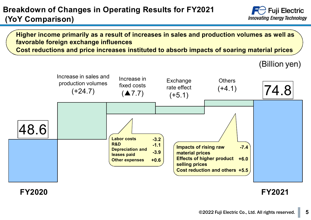#### **Breakdown of Changes in Operating Results for FY2021 (YoY Comparison)**



**Higher income primarily as a result of increases in sales and production volumes as well as favorable foreign exchange influences**

**Cost reductions and price increases instituted to absorb impacts of soaring material prices**



**FY2020 FY2021**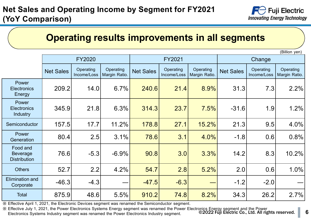

### **Operating results improvements in all segments**

(Billion yen)

|                                                    |                  | <b>FY2020</b>            |                            |                  | FY2021                   |                            | Change           |                          |                            |  |
|----------------------------------------------------|------------------|--------------------------|----------------------------|------------------|--------------------------|----------------------------|------------------|--------------------------|----------------------------|--|
|                                                    | <b>Net Sales</b> | Operating<br>Income/Loss | Operating<br>Margin Ratio. | <b>Net Sales</b> | Operating<br>Income/Loss | Operating<br>Margin Ratio. | <b>Net Sales</b> | Operating<br>Income/Loss | Operating<br>Margin Ratio. |  |
| Power<br><b>Electronics</b><br>Energy              | 209.2            | 14.0                     | 6.7%                       | 240.6            | 21.4                     | 8.9%                       | 31.3             | 7.3                      | 2.2%                       |  |
| Power<br><b>Electronics</b><br>Industry            | 345.9            | 21.8                     | 6.3%                       | 314.3            | 23.7                     | 7.5%                       | $-31.6$          | 1.9                      | 1.2%                       |  |
| Semiconductor                                      | 157.5            | 17.7                     | 11.2%                      | 178.8            | 27.1                     | 15.2%                      | 21.3             | 9.5                      | 4.0%                       |  |
| Power<br>Generation                                | 80.4             | 2.5                      | 3.1%                       | 78.6             | 3.1                      | 4.0%                       | $-1.8$           | 0.6                      | 0.8%                       |  |
| Food and<br><b>Beverage</b><br><b>Distribution</b> | 76.6             | $-5.3$                   | $-6.9%$                    | 90.8             | 3.0                      | 3.3%                       | 14.2             | 8.3                      | 10.2%                      |  |
| <b>Others</b>                                      | 52.7             | 2.2                      | 4.2%                       | 54.7             | 2.8                      | 5.2%                       | 2.0              | 0.6                      | 1.0%                       |  |
| <b>Elimination and</b><br>Corporate                | $-46.3$          | $-4.3$                   |                            | $-47.5$          | $-6.3$                   |                            | $-1.2$           | $-2.0$                   |                            |  |
| <b>Total</b>                                       | 875.9            | 48.6                     | 5.5%                       | 910.2            | 74.8                     | 8.2%                       | 34.3             | 26.2                     | 2.7%                       |  |

※ Effective April 1, 2021, the Electronic Devices segment was renamed the Semiconductor segment.

©2022 Fuji Electric Co., Ltd. All rights reserved. **6** ※ Effective July 1, 2021, the Power Electronics Systems Energy segment was renamed the Power Electronics Energy segment and the Power Electronics Systems Industry segment was renamed the Power Electronics Industry segment.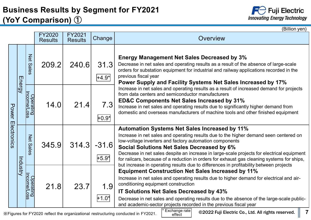### **Business Results by Segment for FY2021 (YoY Comparison)** ①



|              |               |                                                         |                                 |                          |                                                                                                                                                                                                                                                                                                                                                                                    | (Billion yen)                                                                                                                                                                                                                                                                                                                                                                                                                                                                                                                                       |
|--------------|---------------|---------------------------------------------------------|---------------------------------|--------------------------|------------------------------------------------------------------------------------------------------------------------------------------------------------------------------------------------------------------------------------------------------------------------------------------------------------------------------------------------------------------------------------|-----------------------------------------------------------------------------------------------------------------------------------------------------------------------------------------------------------------------------------------------------------------------------------------------------------------------------------------------------------------------------------------------------------------------------------------------------------------------------------------------------------------------------------------------------|
|              |               |                                                         | <b>FY2020</b><br><b>Results</b> | FY2021<br><b>Results</b> | Change                                                                                                                                                                                                                                                                                                                                                                             | Overview                                                                                                                                                                                                                                                                                                                                                                                                                                                                                                                                            |
|              | <b>Energy</b> | <b>Net Sales</b>                                        | 209.2                           | 240.6                    | 31.3<br> +4.9*                                                                                                                                                                                                                                                                                                                                                                     | <b>Energy Management Net Sales Decreased by 3%</b><br>Decrease in net sales and operating results as a result of the absence of large-scale<br>orders for substation equipment for industrial and railway applications recorded in the<br>previous fiscal year<br>Power Supply and Facility Systems Net Sales Increased by 17%                                                                                                                                                                                                                      |
| <b>Power</b> |               | Operating<br>Income/Loss<br>21.4<br>7.3<br>14.0<br>0.9* |                                 |                          | Increase in net sales and operating results as a result of increased demand for projects<br>from data centers and semiconductor manufacturers<br><b>ED&amp;C Components Net Sales Increased by 31%</b><br>Increase in net sales and operating results due to significantly higher demand from<br>domestic and overseas manufacturers of machine tools and other finished equipment |                                                                                                                                                                                                                                                                                                                                                                                                                                                                                                                                                     |
| Electronics  |               | Net<br><b>Sales</b>                                     | 345.9                           |                          | $314.3$ -31.6<br>$+5.9*$                                                                                                                                                                                                                                                                                                                                                           | <b>Automation Systems Net Sales Increased by 11%</b><br>Increase in net sales and operating results due to the higher demand seen centered on<br>low-voltage inverters and factory automation components<br><b>Social Solutions Net Sales Decreased by 6%</b><br>Decrease in net sales despite an increase in large-scale projects for electrical equipment<br>for railcars, because of a reduction in orders for exhaust gas cleaning systems for ships,<br>but increase in operating results due to differences in profitability between projects |
|              | ndustry       | Operating<br>Income/Loss                                | 21.8                            | 23.7                     | 1.9<br>$+1.0^*$                                                                                                                                                                                                                                                                                                                                                                    | <b>Equipment Construction Net Sales Increased by 11%</b><br>Increase in net sales and operating results due to higher demand for electrical and air-<br>conditioning equipment construction<br><b>IT Solutions Net Sales Decreased by 43%</b><br>Decrease in net sales and operating results due to the absence of the large-scale public-<br>and academic-sector projects recorded in the previous fiscal year                                                                                                                                     |

※Figures for FY2020 reflect the organizational restructuring conducted in FY2021.

Exchange rate effect

**7**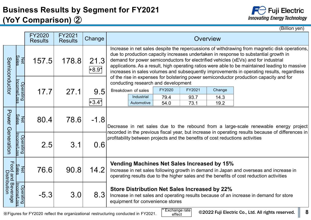### **Business Results by Segment for FY2021 (YoY Comparison)** ②



(Billion yen)

|                               |                                      | <b>FY2020</b><br><b>Results</b> | FY2021<br><b>Results</b> | Change          | Overview                                                                                                                                                                                                                                                                                                                                                                                                                                                                                                                                                             |                    |                                     |        |        |                                                                               |  |  |
|-------------------------------|--------------------------------------|---------------------------------|--------------------------|-----------------|----------------------------------------------------------------------------------------------------------------------------------------------------------------------------------------------------------------------------------------------------------------------------------------------------------------------------------------------------------------------------------------------------------------------------------------------------------------------------------------------------------------------------------------------------------------------|--------------------|-------------------------------------|--------|--------|-------------------------------------------------------------------------------|--|--|
| Semiconductor                 | <u>Sales</u><br>Net                  | 157.5                           | 178.8                    | 21.3<br>$+8.9*$ | Increase in net sales despite the repercussions of withdrawing from magnetic disk operations,<br>due to production capacity increases undertaken in response to substantial growth in<br>demand for power semiconductors for electrified vehicles (xEVs) and for industrial<br>applications. As a result, high operating ratios were able to be maintained leading to massive<br>increases in sales volumes and subsequently improvements in operating results, regardless<br>of the rise in expenses for bolstering power semiconductor production capacity and for |                    |                                     |        |        |                                                                               |  |  |
|                               | <u>Income/Loss</u>                   |                                 |                          |                 |                                                                                                                                                                                                                                                                                                                                                                                                                                                                                                                                                                      |                    | conducting research and development |        |        |                                                                               |  |  |
|                               | Operating                            | 17.7                            | 27.1                     | 9.5             |                                                                                                                                                                                                                                                                                                                                                                                                                                                                                                                                                                      | Breakdown of sales | FY2020                              | FY2021 | Change |                                                                               |  |  |
|                               |                                      |                                 |                          |                 |                                                                                                                                                                                                                                                                                                                                                                                                                                                                                                                                                                      | Industrial         | 79.4                                | 93.7   | 14.3   |                                                                               |  |  |
|                               |                                      |                                 |                          | 1+3.4*          |                                                                                                                                                                                                                                                                                                                                                                                                                                                                                                                                                                      | Automotive         | 54.0                                | 73.1   | 19.2   |                                                                               |  |  |
| Power Generation              | <b>Sales</b><br>Net                  | 80.4                            | 78.6                     | $-1.8$          | Decrease in net sales due to the rebound from a large-scale renewable energy project<br>recorded in the previous fiscal year, but increase in operating results because of differences in                                                                                                                                                                                                                                                                                                                                                                            |                    |                                     |        |        |                                                                               |  |  |
|                               | <u>Income/Los</u><br>Operating<br>۱ŵ | 2.5                             | 3.1                      | 0.6             |                                                                                                                                                                                                                                                                                                                                                                                                                                                                                                                                                                      |                    |                                     |        |        | profitability between projects and the benefits of cost reductions activities |  |  |
| Food and Beve<br>Distribution | <b>Sales</b><br>즮                    | 76.6                            | 90.8                     | 14.2            | Vending Machines Net Sales Increased by 15%<br>Increase in net sales following growth in demand in Japan and overseas and increase in<br>operating results due to the higher sales and the benefits of cost reduction activities                                                                                                                                                                                                                                                                                                                                     |                    |                                     |        |        |                                                                               |  |  |
| Beverage                      | <u>Income/Los</u><br>Operating<br>Ĭΰ | $-5.3$                          | 3.0                      | 8.3             | <b>Store Distribution Net Sales Increased by 22%</b><br>Increase in net sales and operating results because of an increase in demand for store<br>equipment for convenience stores                                                                                                                                                                                                                                                                                                                                                                                   |                    |                                     |        |        |                                                                               |  |  |

※Figures for FY2020 reflect the organizational restructuring conducted in FY2021.

**Exchange rate** effect

**8**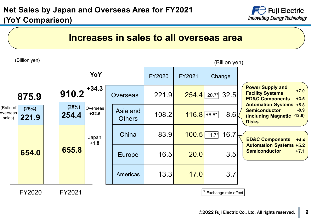

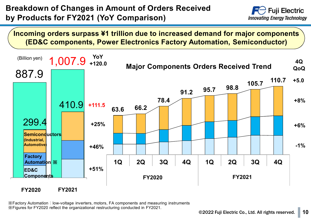#### **Breakdown of Changes in Amount of Orders Received by Products for FY2021 (YoY Comparison)**



**Incoming orders surpass ¥1 trillion due to increased demand for major components (ED&C components, Power Electronics Factory Automation, Semiconductor)**



※Factory Automation:low-voltage inverters, motors, FA components and measuring instruments ※Figures for FY2020 reflect the organizational restructuring conducted in FY2021.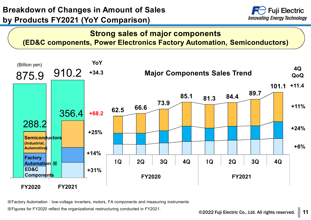#### **Breakdown of Changes in Amount of Sales by Products FY2021 (YoY Comparison)**



#### **Strong sales of major components (ED&C components, Power Electronics Factory Automation, Semiconductors)**



※Factory Automation:low-voltage inverters, motors, FA components and measuring instruments

※Figures for FY2020 reflect the organizational restructuring conducted in FY2021.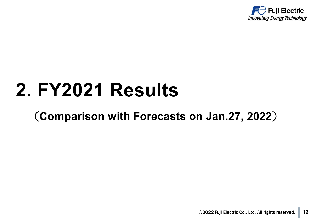

## **2. FY2021 Results**

### (**Comparison with Forecasts on Jan.27, 2022**)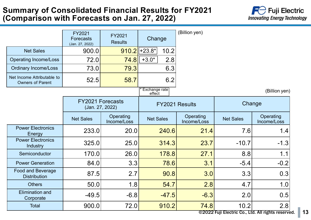#### **Summary of Consolidated Financial Results for FY2021 (Comparison with Forecasts on Jan. 27, 2022)**



|                                                       | FY2021<br><b>Forecasts</b><br>(Jan. 27, 2022) | FY2021<br><b>Results</b> | Change                  |         | (Billion yen)            |                  |                                   |
|-------------------------------------------------------|-----------------------------------------------|--------------------------|-------------------------|---------|--------------------------|------------------|-----------------------------------|
| <b>Net Sales</b>                                      | 900.0                                         |                          | $910.2$ +23.8*          | 10.2    |                          |                  |                                   |
| <b>Operating Income/Loss</b>                          | 72.0                                          | 74.8                     | $+3.0*$                 | 2.8     |                          |                  |                                   |
| <b>Ordinary Income/Loss</b>                           | 73.0                                          | 79.3                     |                         | 6.3     |                          |                  |                                   |
| Net Income Attributable to<br><b>Owners of Parent</b> | 52.5                                          | 58.7                     |                         | 6.2     |                          |                  |                                   |
|                                                       |                                               |                          | Exchange rate<br>effect |         |                          |                  | (Billion yen)                     |
|                                                       | <b>FY2021 Forecasts</b><br>(Jan. 27, 2022)    |                          |                         |         | FY2021 Results           | Change           |                                   |
|                                                       | <b>Net Sales</b>                              | Operating<br>Income/Loss | <b>Net Sales</b>        |         | Operating<br>Income/Loss | <b>Net Sales</b> | Operating<br>Income/Loss          |
| <b>Power Electronics</b><br>Energy                    | 233.0                                         | 20.0                     |                         | 240.6   | 21.4                     | 7.6              | 1.4                               |
| <b>Power Electronics</b><br>Industry                  | 325.0                                         | 25.0                     |                         | 314.3   | 23.7                     | $-10.7$          | $-1.3$                            |
| Semiconductor                                         | 170.0                                         | 26.0                     |                         | 178.8   | 27.1                     | 8.8              | 1.1                               |
| <b>Power Generation</b>                               | 84.0                                          | 3.3                      |                         | 78.6    | 3.1                      | $-5.4$           | $-0.2$                            |
| <b>Food and Beverage</b><br><b>Distribution</b>       | 87.5                                          | 2.7                      |                         | 90.8    | 3.0                      | 3.3              | 0.3                               |
| <b>Others</b>                                         | 50.0                                          | 1.8                      |                         | 54.7    | 2.8                      | 4.7              | 1.0                               |
| <b>Elimination and</b><br>Corporate                   | $-49.5$                                       | $-6.8$                   |                         | $-47.5$ | $-6.3$                   | 2.0              | 0.5                               |
| <b>Total</b>                                          | 900.0                                         | 72.0                     |                         | 910.2   | 74.8                     | 10.2             | 2.8<br><u>Lia La Milate de la</u> |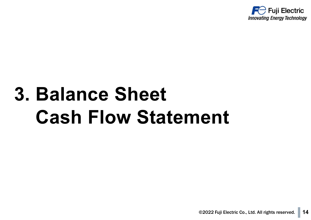

# **3. Balance Sheet Cash Flow Statement**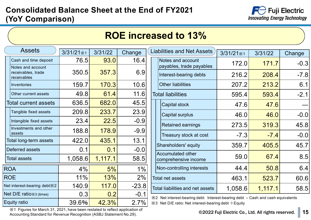#### **Consolidated Balance Sheet at the End of FY2021 (YoY Comparison)**



| <b>ROE increased to 13%</b>                            |                    |         |         |  |                                                                                 |                    |         |        |  |  |  |  |
|--------------------------------------------------------|--------------------|---------|---------|--|---------------------------------------------------------------------------------|--------------------|---------|--------|--|--|--|--|
| <b>Assets</b>                                          | $3/31/21 \times 1$ | 3/31/22 | Change  |  | <b>Liabilities and Net Assets</b>                                               | $3/31/21 \times 1$ | 3/31/22 | Change |  |  |  |  |
| Cash and time deposit                                  | 76.5               | 93.0    | 16.4    |  | Notes and account                                                               | 172.0              | 171.7   | $-0.3$ |  |  |  |  |
| Notes and account<br>receivables, trade<br>receivables | 350.5              | 357.3   | 6.9     |  | payables, trade payables<br>Interest-bearing debts                              | 216.2              | 208.4   | $-7.8$ |  |  |  |  |
| Inventories                                            | 159.7              | 170.3   | 10.6    |  | <b>Other liabilities</b>                                                        | 207.2              | 213.2   | 6.1    |  |  |  |  |
| Other current assets                                   | 49.8               | 61.4    | 11.6    |  | <b>Total liabilities</b>                                                        | 595.4              | 593.4   | $-2.1$ |  |  |  |  |
| Total current assets                                   | 636.5              | 682.0   | 45.5    |  | Capital stock                                                                   | 47.6               | 47.6    |        |  |  |  |  |
| Tangible fixed assets                                  | 209.8              | 233.7   | 23.9    |  | Capital surplus                                                                 | 46.0               | 46.0    | $-0.0$ |  |  |  |  |
| Intangible fixed assets                                | 23.4               | 22.5    | $-0.9$  |  | <b>Retained earnings</b>                                                        | 273.5              | 319.3   | 45.8   |  |  |  |  |
| Investments and other<br>assets                        | 188.8              | 178.9   | $-9.9$  |  | Treasury stock at cost                                                          | $-7.3$             | $-7.4$  | $-0.0$ |  |  |  |  |
| Total long-term assets                                 | 422.0              | 435.1   | 13.1    |  |                                                                                 |                    |         |        |  |  |  |  |
| Deferred assets                                        | 0.1                | 0.1     | $-0.0$  |  | Shareholders' equity<br><b>Accumulated other</b>                                | 359.7              | 405.5   | 45.7   |  |  |  |  |
| <b>Total assets</b>                                    | 1,058.6            | 1,117.1 | 58.5    |  | comprehensive income                                                            | 59.0               | 67.4    | 8.5    |  |  |  |  |
| <b>ROA</b>                                             | 4%                 | 5%      | $1\%$   |  | Non-controlling interests                                                       | 44.4               | 50.8    | 6.4    |  |  |  |  |
| <b>ROE</b>                                             | 11%                | 13%     | 2%      |  | <b>Total net assets</b>                                                         | 463.1              | 523.7   | 60.6   |  |  |  |  |
| Net interest-bearing debt $\divideontimes$ 2           | 140.9              | 117.0   | $-23.8$ |  | <b>Total liabilities and net assets</b>                                         | 1,058.6            | 1,117.1 | 58.5   |  |  |  |  |
| Net D/E ratio x 3 (times)                              | 0.3                | 0.2     | $-0.1$  |  | ※2 Net interest-bearing debt: Interest-bearing debt – Cash and cash equivalents |                    |         |        |  |  |  |  |
| Equity ratio                                           | 39.6%              | 42.3%   | 2.7%    |  | ※3 Net D/E ratio: Net interest-bearing debt ÷ Equity                            |                    |         |        |  |  |  |  |

※1 Figures for March 31, 2021, have been restated to reflect application of Accounting Standard for Revenue Recognition (ASBJ Statement No.29).

#### ©2022 Fuji Electric Co., Ltd. All rights reserved. **15**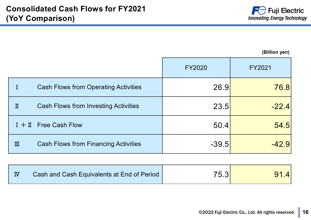

**(Billion yen)**

|   |                                             | <b>FY2020</b> | FY2021  |
|---|---------------------------------------------|---------------|---------|
|   | <b>Cash Flows from Operating Activities</b> | 26.9          | 76.8    |
| п | <b>Cash Flows from Investing Activities</b> | 23.5          | $-22.4$ |
|   | $I + II$ Free Cash Flow                     | 50.4          | 54.5    |
| Ш | <b>Cash Flows from Financing Activities</b> | $-39.5$       | $-42.9$ |

|  | Cash and Cash Equivalents at End of Period | 75.3 <sub>1</sub> | 4 |
|--|--------------------------------------------|-------------------|---|
|--|--------------------------------------------|-------------------|---|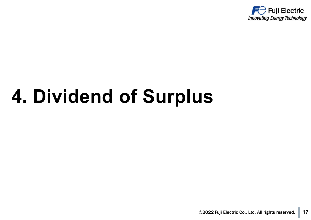

## **4. Dividend of Surplus**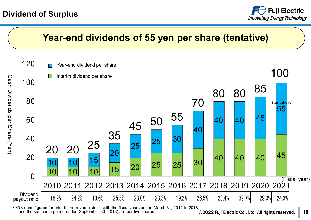#### **Dividend of Surplus**





and the six-month period ended September 30, 2018) are per five shares.

©2022 Fuji Electric Co., Ltd. All rights reserved. **18**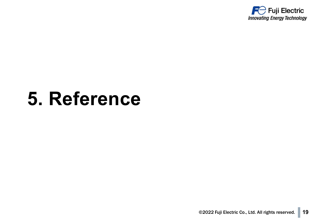

## **5. Reference**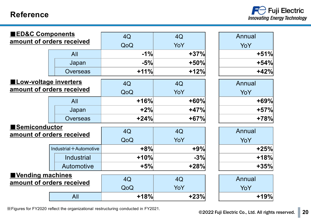#### **Reference**



| <b>ED&amp;C Components</b>   |                           | 4Q     | 4Q     | Annual |
|------------------------------|---------------------------|--------|--------|--------|
|                              | amount of orders received | QoQ    | YoY    | YoY    |
|                              | All                       | $-1%$  | $+37%$ | $+51%$ |
|                              | Japan                     | $-5%$  | $+50%$ | $+54%$ |
|                              | <b>Overseas</b>           | $+11%$ | $+12%$ | $+42%$ |
| <b>Low-voltage inverters</b> |                           | 4Q     | 4Q     | Annual |
| amount of orders received    |                           | QoQ    | YoY    | YoY    |
|                              | All                       | $+16%$ | $+60%$ | $+69%$ |
|                              | Japan                     | $+2%$  | $+47%$ | $+57%$ |
|                              | <b>Overseas</b>           | $+24%$ | $+67%$ | $+78%$ |
| <b>Semiconductor</b>         |                           | 4Q     | 4Q     | Annual |
|                              | amount of orders received | QoQ    | YoY    | YoY    |
|                              | Industrial + Automotive   | $+8%$  | $+9%$  | $+25%$ |
|                              | <b>Industrial</b>         | $+10%$ | $-3%$  | $+18%$ |
|                              | Automotive                | $+5%$  | $+28%$ | $+35%$ |
| Vending machines             |                           | 4Q     | 4Q     | Annual |
| amount of orders received    |                           | QoQ    | YoY    | YoY    |
|                              | All                       | $+18%$ | $+23%$ | $+19%$ |

※Figures for FY2020 reflect the organizational restructuring conducted in FY2021.